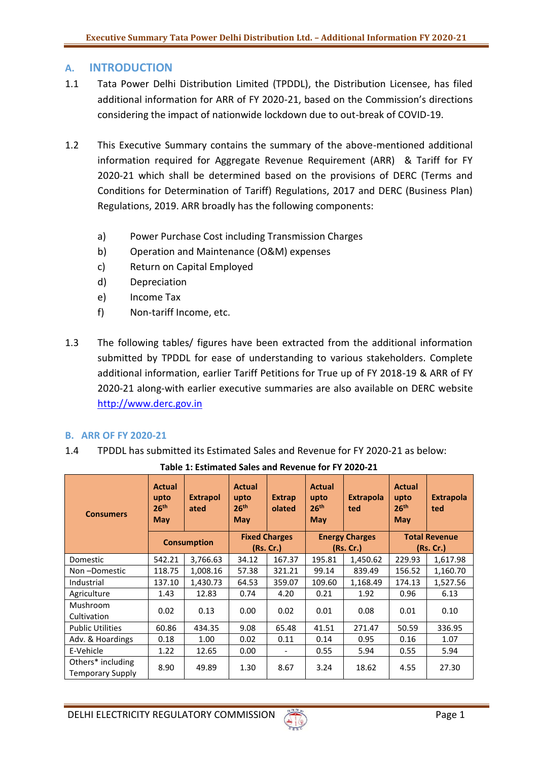# **A. INTRODUCTION**

- 1.1 Tata Power Delhi Distribution Limited (TPDDL), the Distribution Licensee, has filed additional information for ARR of FY 2020-21, based on the Commission's directions considering the impact of nationwide lockdown due to out-break of COVID-19.
- 1.2 This Executive Summary contains the summary of the above-mentioned additional information required for Aggregate Revenue Requirement (ARR) & Tariff for FY 2020-21 which shall be determined based on the provisions of DERC (Terms and Conditions for Determination of Tariff) Regulations, 2017 and DERC (Business Plan) Regulations, 2019. ARR broadly has the following components:
	- a) Power Purchase Cost including Transmission Charges
	- b) Operation and Maintenance (O&M) expenses
	- c) Return on Capital Employed
	- d) Depreciation
	- e) Income Tax
	- f) Non-tariff Income, etc.
- 1.3 The following tables/ figures have been extracted from the additional information submitted by TPDDL for ease of understanding to various stakeholders. Complete additional information, earlier Tariff Petitions for True up of FY 2018-19 & ARR of FY 2020-21 along-with earlier executive summaries are also available on DERC website [http://www.derc.gov.in](http://www.derc.gov.in/)

### **B. ARR OF FY 2020-21**

1.4 TPDDL has submitted its Estimated Sales and Revenue for FY 2020-21 as below:

| <b>Consumers</b>                             | <b>Actual</b><br>upto<br>26 <sup>th</sup><br>May | <b>Extrapol</b><br>ated | <b>Actual</b><br>upto<br>26 <sup>th</sup><br><b>May</b> | <b>Extrap</b><br>olated           | <b>Actual</b><br>upto<br>26 <sup>th</sup><br><b>May</b> | <b>Extrapola</b><br>ted           | Actual<br>upto<br>26 <sup>th</sup><br>May | <b>Extrapola</b><br>ted           |
|----------------------------------------------|--------------------------------------------------|-------------------------|---------------------------------------------------------|-----------------------------------|---------------------------------------------------------|-----------------------------------|-------------------------------------------|-----------------------------------|
|                                              |                                                  | <b>Consumption</b>      |                                                         | <b>Fixed Charges</b><br>(Rs. Cr.) |                                                         | <b>Energy Charges</b><br>(Rs.Cr.) |                                           | <b>Total Revenue</b><br>(Rs. Cr.) |
| Domestic                                     | 542.21                                           | 3,766.63                | 34.12                                                   | 167.37                            | 195.81                                                  | 1,450.62                          | 229.93                                    | 1,617.98                          |
| Non-Domestic                                 | 118.75                                           | 1,008.16                | 57.38                                                   | 321.21                            | 99.14                                                   | 839.49                            | 156.52                                    | 1,160.70                          |
| Industrial                                   | 137.10                                           | 1,430.73                | 64.53                                                   | 359.07                            | 109.60                                                  | 1,168.49                          | 174.13                                    | 1,527.56                          |
| Agriculture                                  | 1.43                                             | 12.83                   | 0.74                                                    | 4.20                              | 0.21                                                    | 1.92                              | 0.96                                      | 6.13                              |
| Mushroom<br>Cultivation                      | 0.02                                             | 0.13                    | 0.00                                                    | 0.02                              | 0.01                                                    | 0.08                              | 0.01                                      | 0.10                              |
| <b>Public Utilities</b>                      | 60.86                                            | 434.35                  | 9.08                                                    | 65.48                             | 41.51                                                   | 271.47                            | 50.59                                     | 336.95                            |
| Adv. & Hoardings                             | 0.18                                             | 1.00                    | 0.02                                                    | 0.11                              | 0.14                                                    | 0.95                              | 0.16                                      | 1.07                              |
| E-Vehicle                                    | 1.22                                             | 12.65                   | 0.00                                                    | $\overline{\phantom{0}}$          | 0.55                                                    | 5.94                              | 0.55                                      | 5.94                              |
| Others* including<br><b>Temporary Supply</b> | 8.90                                             | 49.89                   | 1.30                                                    | 8.67                              | 3.24                                                    | 18.62                             | 4.55                                      | 27.30                             |

**Table 1: Estimated Sales and Revenue for FY 2020-21**

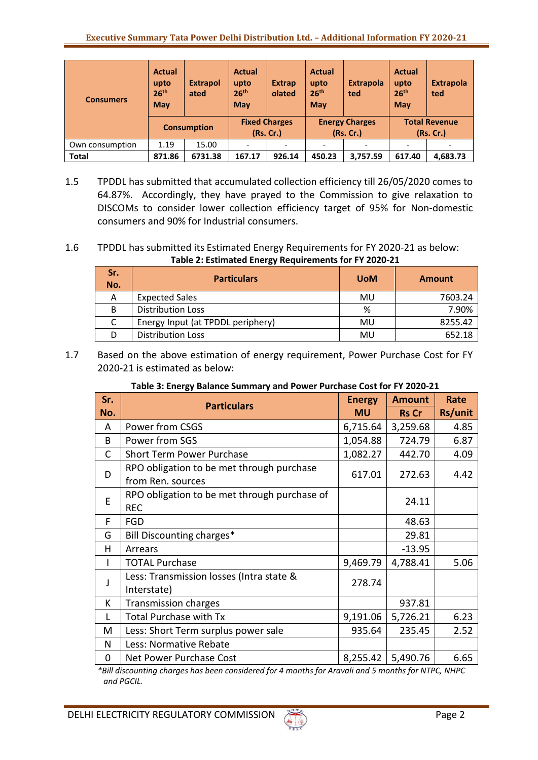| <b>Consumers</b> | <b>Actual</b><br>upto<br>26 <sup>th</sup><br><b>May</b> | <b>Extrapol</b><br>ated | <b>Actual</b><br>upto<br>26 <sup>th</sup><br><b>May</b> | <b>Extrap</b><br>olated           | <b>Actual</b><br>upto<br>26 <sup>th</sup><br>May | <b>Extrapola</b><br>ted            | <b>Actual</b><br>upto<br>26 <sup>th</sup><br><b>May</b> | <b>Extrapola</b><br>ted           |
|------------------|---------------------------------------------------------|-------------------------|---------------------------------------------------------|-----------------------------------|--------------------------------------------------|------------------------------------|---------------------------------------------------------|-----------------------------------|
|                  |                                                         | <b>Consumption</b>      |                                                         | <b>Fixed Charges</b><br>(Rs. Cr.) |                                                  | <b>Energy Charges</b><br>(Rs. Cr.) |                                                         | <b>Total Revenue</b><br>(Rs. Cr.) |
| Own consumption  | 1.19                                                    | 15.00                   |                                                         |                                   |                                                  |                                    |                                                         |                                   |
| <b>Total</b>     | 871.86                                                  | 6731.38                 | 167.17                                                  | 926.14                            | 450.23                                           | 3.757.59                           | 617.40                                                  | 4,683.73                          |

1.5 TPDDL has submitted that accumulated collection efficiency till 26/05/2020 comes to 64.87%. Accordingly, they have prayed to the Commission to give relaxation to DISCOMs to consider lower collection efficiency target of 95% for Non-domestic consumers and 90% for Industrial consumers.

# 1.6 TPDDL has submitted its Estimated Energy Requirements for FY 2020-21 as below: **Table 2: Estimated Energy Requirements for FY 2020-21**

| Sr.<br>No. | <b>Particulars</b>                | <b>UoM</b> | <b>Amount</b> |
|------------|-----------------------------------|------------|---------------|
| А          | <b>Expected Sales</b>             | MU         | 7603.24       |
| B          | <b>Distribution Loss</b>          | %          | 7.90%         |
|            | Energy Input (at TPDDL periphery) | MU         | 8255.42       |
|            | <b>Distribution Loss</b>          | MU         | 652.18        |

1.7 Based on the above estimation of energy requirement, Power Purchase Cost for FY 2020-21 is estimated as below:

| Sr. | <b>Particulars</b>                                             | <b>Energy</b> | <b>Amount</b> | Rate    |
|-----|----------------------------------------------------------------|---------------|---------------|---------|
| No. |                                                                | <b>MU</b>     | <b>Rs Cr</b>  | Rs/unit |
| A   | Power from CSGS                                                | 6,715.64      | 3,259.68      | 4.85    |
| B   | Power from SGS                                                 | 1,054.88      | 724.79        | 6.87    |
| C   | <b>Short Term Power Purchase</b>                               | 1,082.27      | 442.70        | 4.09    |
| D   | RPO obligation to be met through purchase<br>from Ren. sources | 617.01        | 272.63        | 4.42    |
|     | RPO obligation to be met through purchase of                   |               |               |         |
| E   | <b>REC</b>                                                     |               | 24.11         |         |
| F   | <b>FGD</b>                                                     |               | 48.63         |         |
| G   | Bill Discounting charges*                                      |               | 29.81         |         |
| н   | Arrears                                                        |               | $-13.95$      |         |
|     | <b>TOTAL Purchase</b>                                          | 9,469.79      | 4,788.41      | 5.06    |
| J   | Less: Transmission losses (Intra state &                       | 278.74        |               |         |
|     | Interstate)                                                    |               |               |         |
| К   | <b>Transmission charges</b>                                    |               | 937.81        |         |
| L   | <b>Total Purchase with Tx</b>                                  | 9,191.06      | 5,726.21      | 6.23    |
| M   | Less: Short Term surplus power sale                            | 935.64        | 235.45        | 2.52    |
| N   | Less: Normative Rebate                                         |               |               |         |
| 0   | Net Power Purchase Cost                                        | 8,255.42      | 5,490.76      | 6.65    |

# **Table 3: Energy Balance Summary and Power Purchase Cost for FY 2020-21**

*\*Bill discounting charges has been considered for 4 months for Aravali and 5 months for NTPC, NHPC and PGCIL.*

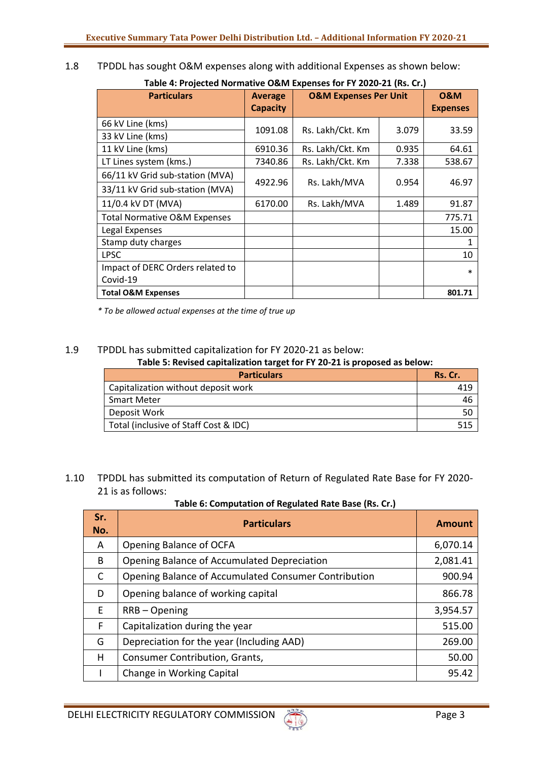1.8 TPDDL has sought O&M expenses along with additional Expenses as shown below:

| <b>Particulars</b>                      | <b>Average</b>  | <b>O&amp;M Expenses Per Unit</b> |       | <b>0&amp;M</b>  |
|-----------------------------------------|-----------------|----------------------------------|-------|-----------------|
|                                         | <b>Capacity</b> |                                  |       | <b>Expenses</b> |
| 66 kV Line (kms)                        | 1091.08         | Rs. Lakh/Ckt. Km                 | 3.079 |                 |
| 33 kV Line (kms)                        |                 |                                  |       | 33.59           |
| 11 kV Line (kms)                        | 6910.36         | Rs. Lakh/Ckt. Km                 | 0.935 | 64.61           |
| LT Lines system (kms.)                  | 7340.86         | Rs. Lakh/Ckt. Km                 | 7.338 | 538.67          |
| 66/11 kV Grid sub-station (MVA)         |                 |                                  |       |                 |
| 33/11 kV Grid sub-station (MVA)         | 4922.96         | Rs. Lakh/MVA                     | 0.954 | 46.97           |
| 11/0.4 kV DT (MVA)                      | 6170.00         | Rs. Lakh/MVA                     | 1.489 | 91.87           |
| <b>Total Normative O&amp;M Expenses</b> |                 |                                  |       | 775.71          |
| Legal Expenses                          |                 |                                  |       | 15.00           |
| Stamp duty charges                      |                 |                                  |       |                 |
| <b>LPSC</b>                             |                 |                                  |       | 10              |
| Impact of DERC Orders related to        |                 |                                  |       | $\ast$          |
| Covid-19                                |                 |                                  |       |                 |
| <b>Total O&amp;M Expenses</b>           |                 |                                  |       | 801.71          |

*\* To be allowed actual expenses at the time of true up*

## 1.9 TPDDL has submitted capitalization for FY 2020-21 as below:

**Table 5: Revised capitalization target for FY 20-21 is proposed as below:**

| <b>Particulars</b>                    | Rs. Cr. |
|---------------------------------------|---------|
| Capitalization without deposit work   |         |
| <b>Smart Meter</b>                    | 46      |
| Deposit Work                          |         |
| Total (inclusive of Staff Cost & IDC) |         |

1.10 TPDDL has submitted its computation of Return of Regulated Rate Base for FY 2020- 21 is as follows:

**Table 6: Computation of Regulated Rate Base (Rs. Cr.)**

| Sr.<br>No. | <b>Particulars</b>                                   | <b>Amount</b> |
|------------|------------------------------------------------------|---------------|
| A          | Opening Balance of OCFA                              | 6,070.14      |
| B          | Opening Balance of Accumulated Depreciation          | 2,081.41      |
| C          | Opening Balance of Accumulated Consumer Contribution | 900.94        |
| D          | Opening balance of working capital                   | 866.78        |
| E          | $RRB - Opening$                                      | 3,954.57      |
| F          | Capitalization during the year                       | 515.00        |
| G          | Depreciation for the year (Including AAD)            | 269.00        |
| н          | Consumer Contribution, Grants,                       | 50.00         |
|            | Change in Working Capital                            | 95.42         |

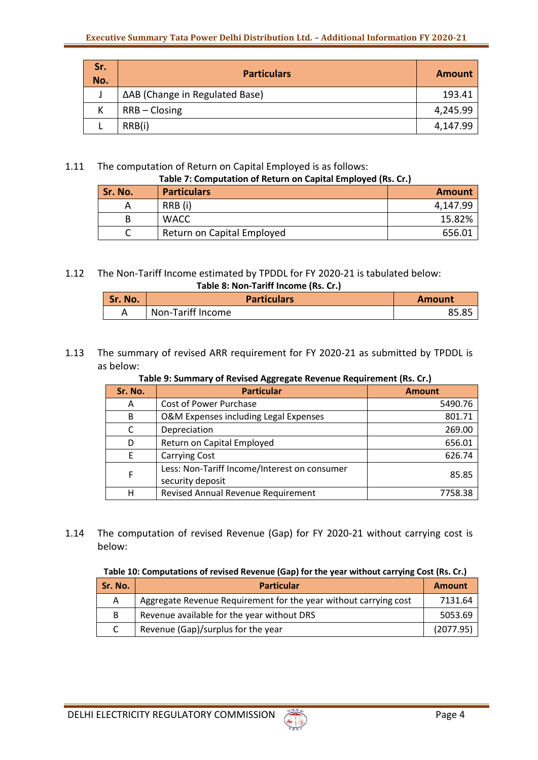| Sr.<br>No. | <b>Particulars</b>             | <b>Amount</b> |
|------------|--------------------------------|---------------|
|            | ΔAB (Change in Regulated Base) | 193.41        |
|            | $RRB - Closing$                | 4,245.99      |
|            | RRB(i)                         | 4,147.99      |

# 1.11 The computation of Return on Capital Employed is as follows:

| Table 7: Computation of Return on Capital Employed (Rs. Cr.) |                            |          |  |  |
|--------------------------------------------------------------|----------------------------|----------|--|--|
| Sr. No.                                                      | <b>Particulars</b>         | Amount   |  |  |
|                                                              | RRB (i)                    | 4,147.99 |  |  |
| B.                                                           | <b>WACC</b>                | 15.82%   |  |  |
|                                                              | Return on Capital Employed | 656.01   |  |  |

#### 1.12 The Non-Tariff Income estimated by TPDDL for FY 2020-21 is tabulated below: **Table 8: Non-Tariff Income (Rs. Cr.)**

| Sr. No. | <b>Particulars</b> | <b>Amount</b> |
|---------|--------------------|---------------|
|         | Non-Tariff Income  | <b>OE OE</b>  |

# 1.13 The summary of revised ARR requirement for FY 2020-21 as submitted by TPDDL is as below:

# **Table 9: Summary of Revised Aggregate Revenue Requirement (Rs. Cr.)**

| Sr. No. | <b>Particular</b>                                                | <b>Amount</b> |
|---------|------------------------------------------------------------------|---------------|
| A       | Cost of Power Purchase                                           | 5490.76       |
| B       | O&M Expenses including Legal Expenses                            | 801.71        |
| C       | Depreciation                                                     | 269.00        |
| D       | Return on Capital Employed                                       | 656.01        |
|         | <b>Carrying Cost</b>                                             | 626.74        |
| F       | Less: Non-Tariff Income/Interest on consumer<br>security deposit | 85.85         |
| н       | Revised Annual Revenue Requirement                               | 7758.38       |

1.14 The computation of revised Revenue (Gap) for FY 2020-21 without carrying cost is below:

### **Table 10: Computations of revised Revenue (Gap) for the year without carrying Cost (Rs. Cr.)**

| Sr. No. | <b>Particular</b>                                                | <b>Amount</b> |
|---------|------------------------------------------------------------------|---------------|
| A       | Aggregate Revenue Requirement for the year without carrying cost | 7131.64       |
| B       | Revenue available for the year without DRS                       | 5053.69       |
|         | Revenue (Gap)/surplus for the year                               | (2077.95)     |